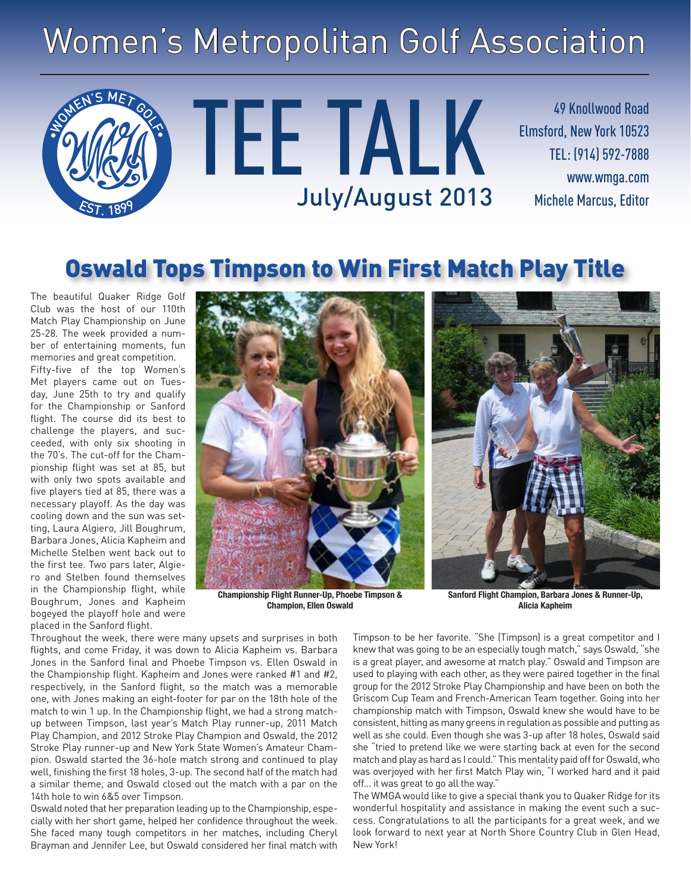# Women's Metropolitan Golf Association

TEE TALK

49 Knollwood Road Elmsford, New York 10523 TEL: (914) 592-7888 www.wmga.com July/August 2013 Michele Marcus, Editor

### Oswald Tops Timpson to Win First Match Play Title

The beautiful Quaker Ridge Golf Club was the host of our 110th Match Play Championship on June 25-28. The week provided a number of entertaining moments, fun memories and great competition. Fifty-five of the top Women's Met players came out on Tuesday, June 25th to try and qualify for the Championship or Sanford flight. The course did its best to challenge the players, and succeeded, with only six shooting in the 70's. The cut-off for the Championship flight was set at 85, but with only two spots available and five players tied at 85, there was a necessary playoff. As the day was cooling down and the sun was setting, Laura Algiero, Jill Boughrum, Barbara Jones, Alicia Kapheim and Michelle Stelben went back out to the first tee. Two pars later, Algiero and Stelben found themselves in the Championship flight, while Boughrum, Jones and Kapheim bogeyed the playoff hole and were placed in the Sanford flight.

**SOMEN'S MET GOLF** 

EST. <sup>1</sup>899





**Championship Flight Runner-Up, Phoebe Timpson & Champion, Ellen Oswald**

**Sanford Flight Champion, Barbara Jones & Runner-Up, Alicia Kapheim**

Throughout the week, there were many upsets and surprises in both flights, and come Friday, it was down to Alicia Kapheim vs. Barbara Jones in the Sanford final and Phoebe Timpson vs. Ellen Oswald in the Championship flight. Kapheim and Jones were ranked #1 and #2, respectively, in the Sanford flight, so the match was a memorable one, with Jones making an eight-footer for par on the 18th hole of the match to win 1 up. In the Championship flight, we had a strong matchup between Timpson, last year's Match Play runner-up, 2011 Match Play Champion, and 2012 Stroke Play Champion and Oswald, the 2012 Stroke Play runner-up and New York State Women's Amateur Champion. Oswald started the 36-hole match strong and continued to play well, finishing the first 18 holes, 3-up. The second half of the match had a similar theme, and Oswald closed out the match with a par on the 14th hole to win 6&5 over Timpson.

Oswald noted that her preparation leading up to the Championship, especially with her short game, helped her confidence throughout the week. She faced many tough competitors in her matches, including Cheryl Brayman and Jennifer Lee, but Oswald considered her final match with Timpson to be her favorite. "She (Timpson) is a great competitor and I knew that was going to be an especially tough match," says Oswald, "she is a great player, and awesome at match play." Oswald and Timpson are used to playing with each other, as they were paired together in the final group for the 2012 Stroke Play Championship and have been on both the Griscom Cup Team and French-American Team together. Going into her championship match with Timpson, Oswald knew she would have to be consistent, hitting as many greens in regulation as possible and putting as well as she could. Even though she was 3-up after 18 holes, Oswald said she "tried to pretend like we were starting back at even for the second match and play as hard as I could." This mentality paid off for Oswald, who was overjoyed with her first Match Play win, "I worked hard and it paid off… it was great to go all the way."

The WMGA would like to give a special thank you to Quaker Ridge for its wonderful hospitality and assistance in making the event such a success. Congratulations to all the participants for a great week, and we look forward to next year at North Shore Country Club in Glen Head, New York!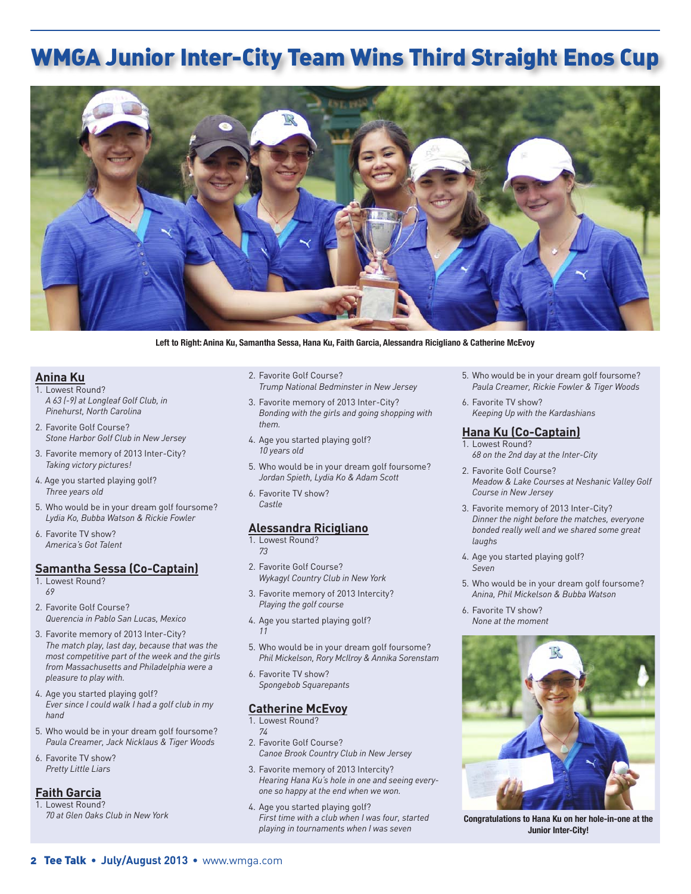## WMGA Junior Inter-City Team Wins Third Straight Enos Cup



**Left to Right: Anina Ku, Samantha Sessa, Hana Ku, Faith Garcia, Alessandra Ricigliano & Catherine McEvoy**

#### **Anina Ku**

- 1. Lowest Round? *A 63 (-9) at Longleaf Golf Club, in Pinehurst, North Carolina*
- 2. Favorite Golf Course? *Stone Harbor Golf Club in New Jersey*
- 3. Favorite memory of 2013 Inter-City? *Taking victory pictures!*
- 4. Age you started playing golf? *Three years old*
- 5. Who would be in your dream golf foursome? *Lydia Ko, Bubba Watson & Rickie Fowler*
- 6. Favorite TV show? *America's Got Talent*

#### **Samantha Sessa (Co-Captain)**

1. Lowest Round? *69*

2. Favorite Golf Course? *Querencia in Pablo San Lucas, Mexico* 

- 3. Favorite memory of 2013 Inter-City? *The match play, last day, because that was the most competitive part of the week and the girls from Massachusetts and Philadelphia were a pleasure to play with.*
- 4. Age you started playing golf? *Ever since I could walk I had a golf club in my hand*
- 5. Who would be in your dream golf foursome? *Paula Creamer, Jack Nicklaus & Tiger Woods*
- 6. Favorite TV show? *Pretty Little Liars*

#### **Faith Garcia**

1. Lowest Round? *70 at Glen Oaks Club in New York*

- 2. Favorite Golf Course? *Trump National Bedminster in New Jersey*
- 3. Favorite memory of 2013 Inter-City? *Bonding with the girls and going shopping with them.*
- 4. Age you started playing golf? *10 years old*
- 5. Who would be in your dream golf foursome? *Jordan Spieth, Lydia Ko & Adam Scott*
- 6. Favorite TV show? *Castle*

#### **Alessandra Ricigliano**

- 1. Lowest Round? *73*
- 2. Favorite Golf Course? *Wykagyl Country Club in New York*
- 3. Favorite memory of 2013 Intercity? *Playing the golf course*
- 4. Age you started playing golf? *11*
- 5. Who would be in your dream golf foursome? *Phil Mickelson, Rory McIlroy & Annika Sorenstam*
- 6. Favorite TV show? *Spongebob Squarepants*

#### **Catherine McEvoy**

- 1. Lowest Round?
- *74* 2. Favorite Golf Course? *Canoe Brook Country Club in New Jersey*
- 3. Favorite memory of 2013 Intercity? *Hearing Hana Ku's hole in one and seeing everyone so happy at the end when we won.*
- 4. Age you started playing golf? *First time with a club when I was four, started playing in tournaments when I was seven*
- 5. Who would be in your dream golf foursome? *Paula Creamer, Rickie Fowler & Tiger Woods*
- 6. Favorite TV show? *Keeping Up with the Kardashians*

#### **Hana Ku (Co-Captain)**

1. Lowest Round? *68 on the 2nd day at the Inter-City*

- 2. Favorite Golf Course? *Meadow & Lake Courses at Neshanic Valley Golf Course in New Jersey*
- 3. Favorite memory of 2013 Inter-City? *Dinner the night before the matches, everyone bonded really well and we shared some great laughs*
- 4. Age you started playing golf? *Seven*
- 5. Who would be in your dream golf foursome? *Anina, Phil Mickelson & Bubba Watson*
- 6. Favorite TV show? *None at the moment*



**Congratulations to Hana Ku on her hole-in-one at the Junior Inter-City!**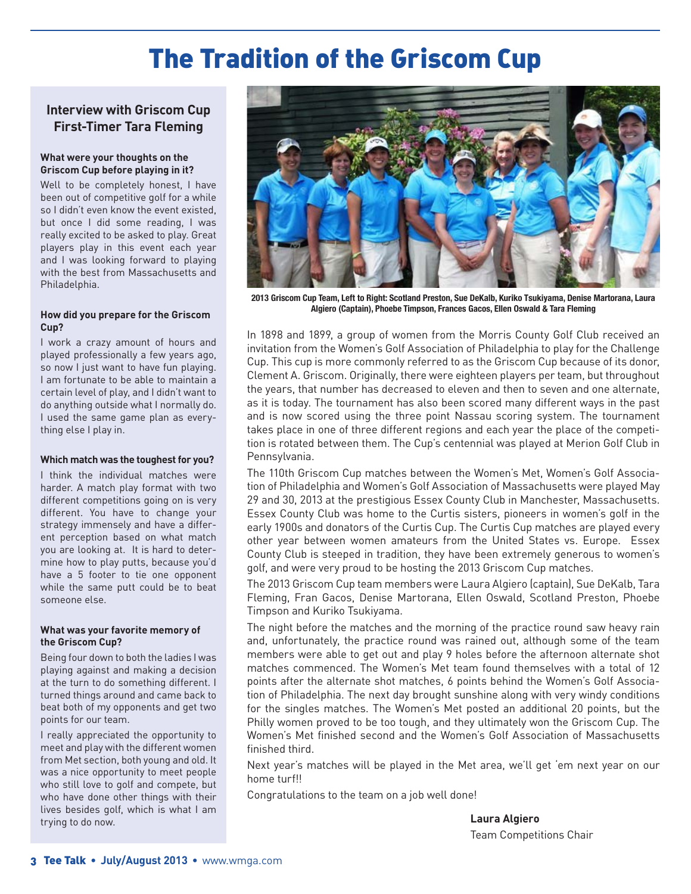## The Tradition of the Griscom Cup

#### **Interview with Griscom Cup First-Timer Tara Fleming**

#### **What were your thoughts on the Griscom Cup before playing in it?**

Well to be completely honest, I have been out of competitive golf for a while so I didn't even know the event existed, but once I did some reading, I was really excited to be asked to play. Great players play in this event each year and I was looking forward to playing with the best from Massachusetts and Philadelphia.

#### **How did you prepare for the Griscom Cup?**

I work a crazy amount of hours and played professionally a few years ago, so now I just want to have fun playing. I am fortunate to be able to maintain a certain level of play, and I didn't want to do anything outside what I normally do. I used the same game plan as everything else I play in.

#### **Which match was the toughest for you?**

I think the individual matches were harder. A match play format with two different competitions going on is very different. You have to change your strategy immensely and have a different perception based on what match you are looking at. It is hard to determine how to play putts, because you'd have a 5 footer to tie one opponent while the same putt could be to beat someone else.

#### **What was your favorite memory of the Griscom Cup?**

Being four down to both the ladies I was playing against and making a decision at the turn to do something different. I turned things around and came back to beat both of my opponents and get two points for our team.

I really appreciated the opportunity to meet and play with the different women from Met section, both young and old. It was a nice opportunity to meet people who still love to golf and compete, but who have done other things with their lives besides golf, which is what I am trying to do now.



**2013 Griscom Cup Team, Left to Right: Scotland Preston, Sue DeKalb, Kuriko Tsukiyama, Denise Martorana, Laura Algiero (Captain), Phoebe Timpson, Frances Gacos, Ellen Oswald & Tara Fleming**

In 1898 and 1899, a group of women from the Morris County Golf Club received an invitation from the Women's Golf Association of Philadelphia to play for the Challenge Cup. This cup is more commonly referred to as the Griscom Cup because of its donor, Clement A. Griscom. Originally, there were eighteen players per team, but throughout the years, that number has decreased to eleven and then to seven and one alternate, as it is today. The tournament has also been scored many different ways in the past and is now scored using the three point Nassau scoring system. The tournament takes place in one of three different regions and each year the place of the competition is rotated between them. The Cup's centennial was played at Merion Golf Club in Pennsylvania.

The 110th Griscom Cup matches between the Women's Met, Women's Golf Association of Philadelphia and Women's Golf Association of Massachusetts were played May 29 and 30, 2013 at the prestigious Essex County Club in Manchester, Massachusetts. Essex County Club was home to the Curtis sisters, pioneers in women's golf in the early 1900s and donators of the Curtis Cup. The Curtis Cup matches are played every other year between women amateurs from the United States vs. Europe. Essex County Club is steeped in tradition, they have been extremely generous to women's golf, and were very proud to be hosting the 2013 Griscom Cup matches.

The 2013 Griscom Cup team members were Laura Algiero (captain), Sue DeKalb, Tara Fleming, Fran Gacos, Denise Martorana, Ellen Oswald, Scotland Preston, Phoebe Timpson and Kuriko Tsukiyama.

The night before the matches and the morning of the practice round saw heavy rain and, unfortunately, the practice round was rained out, although some of the team members were able to get out and play 9 holes before the afternoon alternate shot matches commenced. The Women's Met team found themselves with a total of 12 points after the alternate shot matches, 6 points behind the Women's Golf Association of Philadelphia. The next day brought sunshine along with very windy conditions for the singles matches. The Women's Met posted an additional 20 points, but the Philly women proved to be too tough, and they ultimately won the Griscom Cup. The Women's Met finished second and the Women's Golf Association of Massachusetts finished third.

Next year's matches will be played in the Met area, we'll get 'em next year on our home turf!!

Congratulations to the team on a job well done!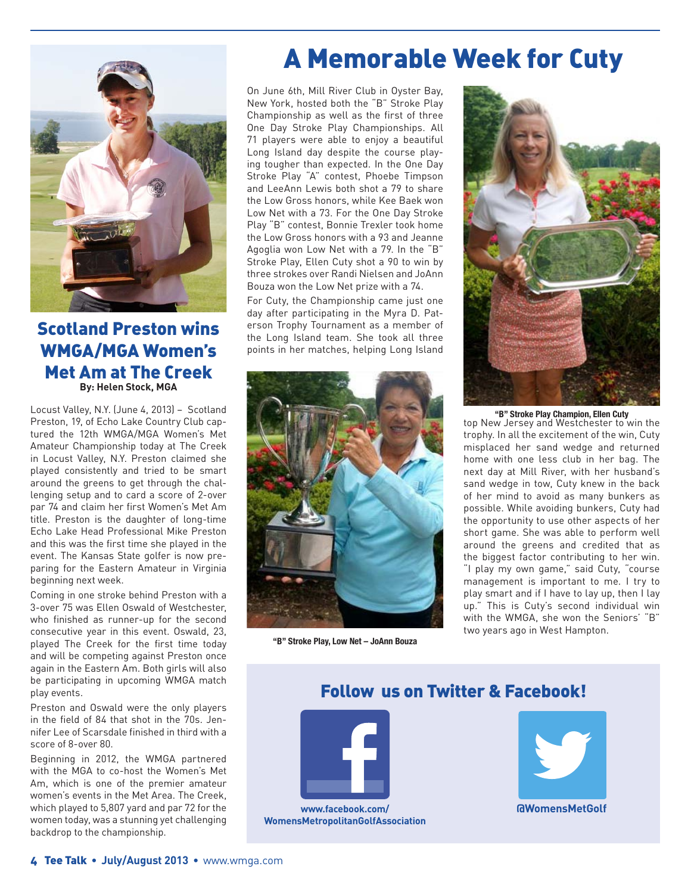

### Scotland Preston wins WMGA/MGA Women's Met Am at The Creek **By: Helen Stock, MGA**

Locust Valley, N.Y. (June 4, 2013) – Scotland Preston, 19, of Echo Lake Country Club captured the 12th WMGA/MGA Women's Met Amateur Championship today at The Creek in Locust Valley, N.Y. Preston claimed she played consistently and tried to be smart around the greens to get through the challenging setup and to card a score of 2-over par 74 and claim her first Women's Met Am title. Preston is the daughter of long-time Echo Lake Head Professional Mike Preston and this was the first time she played in the event. The Kansas State golfer is now preparing for the Eastern Amateur in Virginia beginning next week.

Coming in one stroke behind Preston with a 3-over 75 was Ellen Oswald of Westchester, who finished as runner-up for the second consecutive year in this event. Oswald, 23, played The Creek for the first time today and will be competing against Preston once again in the Eastern Am. Both girls will also be participating in upcoming WMGA match play events.

Preston and Oswald were the only players in the field of 84 that shot in the 70s. Jennifer Lee of Scarsdale finished in third with a score of 8-over 80.

Beginning in 2012, the WMGA partnered with the MGA to co-host the Women's Met Am, which is one of the premier amateur women's events in the Met Area. The Creek, which played to 5,807 yard and par 72 for the women today, was a stunning yet challenging backdrop to the championship.

## A Memorable Week for Cuty

On June 6th, Mill River Club in Oyster Bay, New York, hosted both the "B" Stroke Play Championship as well as the first of three One Day Stroke Play Championships. All 71 players were able to enjoy a beautiful Long Island day despite the course playing tougher than expected. In the One Day Stroke Play "A" contest, Phoebe Timpson and LeeAnn Lewis both shot a 79 to share the Low Gross honors, while Kee Baek won Low Net with a 73. For the One Day Stroke Play "B" contest, Bonnie Trexler took home the Low Gross honors with a 93 and Jeanne Agoglia won Low Net with a 79. In the "B" Stroke Play, Ellen Cuty shot a 90 to win by three strokes over Randi Nielsen and JoAnn Bouza won the Low Net prize with a 74.

For Cuty, the Championship came just one day after participating in the Myra D. Paterson Trophy Tournament as a member of the Long Island team. She took all three points in her matches, helping Long Island



**"B" Stroke Play, Low Net – JoAnn Bouza**



**"B" Stroke Play Champion, Ellen Cuty**

top New Jersey and Westchester to win the trophy. In all the excitement of the win, Cuty misplaced her sand wedge and returned home with one less club in her bag. The next day at Mill River, with her husband's sand wedge in tow, Cuty knew in the back of her mind to avoid as many bunkers as possible. While avoiding bunkers, Cuty had the opportunity to use other aspects of her short game. She was able to perform well around the greens and credited that as the biggest factor contributing to her win. "I play my own game," said Cuty, "course management is important to me. I try to play smart and if I have to lay up, then I lay up." This is Cuty's second individual win with the WMGA, she won the Seniors' "B" two years ago in West Hampton.

### Follow us on Twitter & Facebook!



**www.facebook.com/ @WomensMetGolf WomensMetropolitanGolfAssociation**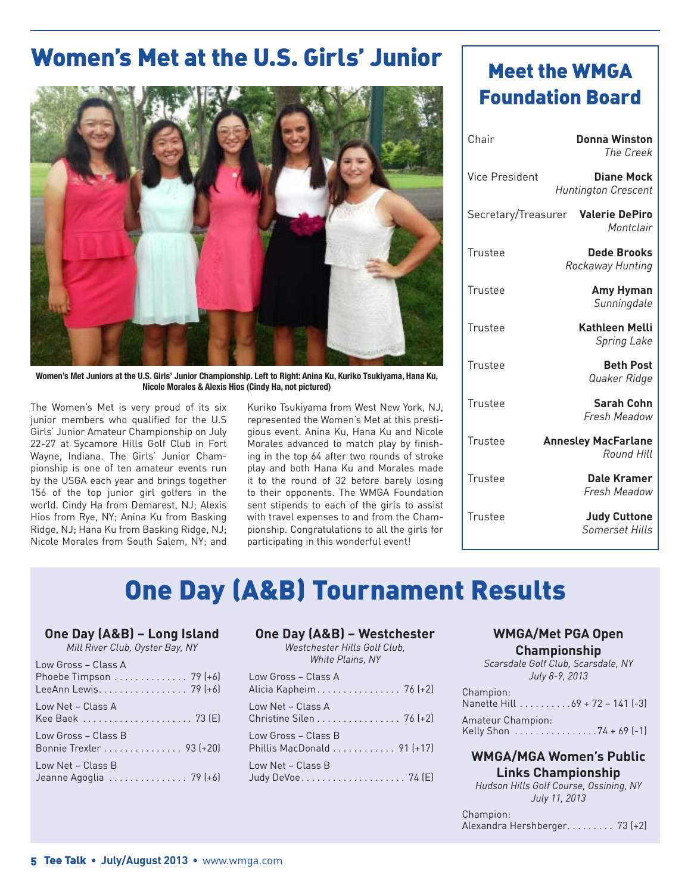### Women's Met at the U.S. Girls' Junior



**Women's Met Juniors at the U.S. Girls' Junior Championship. Left to Right: Anina Ku, Kuriko Tsukiyama, Hana Ku, Nicole Morales & Alexis Hios (Cindy Ha, not pictured)**

The Women's Met is very proud of its six junior members who qualified for the U.S Girls' Junior Amateur Championship on July 22-27 at Sycamore Hills Golf Club in Fort Wayne, Indiana. The Girls' Junior Championship is one of ten amateur events run by the USGA each year and brings together 156 of the top junior girl golfers in the world. Cindy Ha from Demarest, NJ; Alexis Hios from Rye, NY; Anina Ku from Basking Ridge, NJ; Hana Ku from Basking Ridge, NJ; Nicole Morales from South Salem, NY; and

Kuriko Tsukiyama from West New York, NJ, represented the Women's Met at this prestigious event. Anina Ku, Hana Ku and Nicole Morales advanced to match play by finishing in the top 64 after two rounds of stroke play and both Hana Ku and Morales made it to the round of 32 before barely losing to their opponents. The WMGA Foundation sent stipends to each of the girls to assist with travel expenses to and from the Championship. Congratulations to all the girls for participating in this wonderful event!

### Meet the WMGA Foundation Board

| Chair                 | <b>Donna Winston</b><br>The Creek               |
|-----------------------|-------------------------------------------------|
| <b>Vice President</b> | <b>Diane Mock</b><br><b>Huntington Crescent</b> |
| Secretary/Treasurer   | <b>Valerie DePiro</b><br>Montclair              |
| Trustee               | Dede Brooks<br>Rockaway Hunting                 |
| Trustee               | Amy Hyman<br>Sunningdale                        |
| Trustee               | <b>Kathleen Melli</b><br><b>Spring Lake</b>     |
| Trustee               | <b>Beth Post</b><br>Quaker Ridge                |
| Trustee               | <b>Sarah Cohn</b><br><b>Fresh Meadow</b>        |
| Trustee               | <b>Annesley MacFarlane</b><br>Round Hill        |
| Trustee               | Dale Kramer<br><b>Fresh Meadow</b>              |
| Trustee               | <b>Judy Cuttone</b><br>Somerset Hills           |

## One Day (A&B) Tournament Results

#### **One Day (A&B) – Long Island**

*Mill River Club, Oyster Bay, NY*

| Low Gross – Class A<br>Phoebe Timpson $\ldots \ldots \ldots \ldots$ 79 (+6)<br>LeeAnn Lewis. 79 (+6) |
|------------------------------------------------------------------------------------------------------|
| Low Net - Class A<br>Kee Baek  73 [E]                                                                |
| Low Gross – Class B<br>Bonnie Trexler 93 (+20)                                                       |
| Low Net - Class B<br>Jeanne Agoglia  79 (+6)                                                         |

#### **One Day (A&B) – Westchester**

*Westchester Hills Golf Club, White Plains, NY*

| Low Gross - Class A<br>Alicia Kapheim 76 (+2)     |  |
|---------------------------------------------------|--|
| Low Net – Class A<br>Christine Silen 76 (+2)      |  |
| Low Gross – Class B<br>Phillis MacDonald 91 (+17) |  |
| Low Net – Class B                                 |  |

#### **WMGA/Met PGA Open Championship**

*Scarsdale Golf Club, Scarsdale, NY July 8-9, 2013*

| Champion:<br>Nanette Hill 69 + 72 - 141 [-3] |  |
|----------------------------------------------|--|
| Amateur Champion:<br>Kelly Shon 74 + 69 (-1) |  |

### **WMGA/MGA Women's Public Links Championship**

*Hudson Hills Golf Course, Ossining, NY July 11, 2013*

Champion: Alexandra Hershberger. . . . . . . . . 73 (+2)